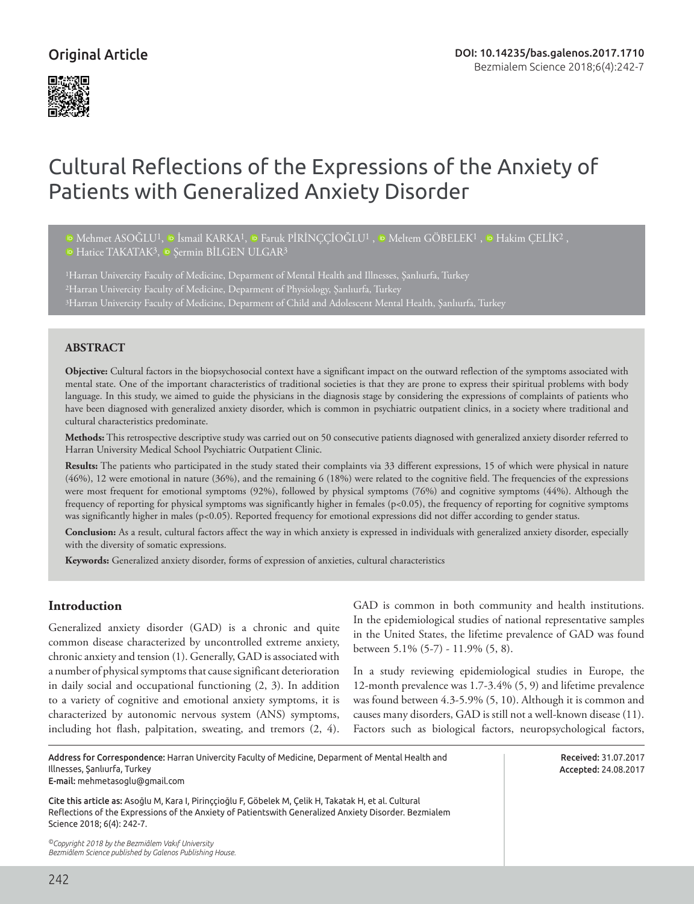## Original Article



# Cultural Reflections of the Expressions of the Anxiety of Patients with Generalized Anxiety Disorder

 $\Phi$ Mehmet ASOĞLU<sup>1</sup>,  $\Phi$  İsmail KARKA<sup>1</sup>,  $\Phi$  Faruk PİRİNCCİOĞLU<sup>1</sup>,  $\Phi$  Meltem GÖBELEK<sup>1</sup>,  $\Phi$  Hakim CELİK<sup>2</sup>, <sup>ID</sup>Hatice TAKATAK<sup>3</sup>, <sup>ID</sup> Sermin BİLGEN ULGAR<sup>3</sup>

<sup>1</sup>Harran Univercity Faculty of Medicine, Deparment of Mental Health and Illnesses, Şanlıurfa, Turkey 2Harran Univercity Faculty of Medicine, Deparment of Physiology, Şanlıurfa, Turkey 3Harran Univercity Faculty of Medicine, Deparment of Child and Adolescent Mental Health, Şanlıurfa, Turkey

#### **ABSTRACT**

**Objective:** Cultural factors in the biopsychosocial context have a significant impact on the outward reflection of the symptoms associated with mental state. One of the important characteristics of traditional societies is that they are prone to express their spiritual problems with body language. In this study, we aimed to guide the physicians in the diagnosis stage by considering the expressions of complaints of patients who have been diagnosed with generalized anxiety disorder, which is common in psychiatric outpatient clinics, in a society where traditional and cultural characteristics predominate.

**Methods:** This retrospective descriptive study was carried out on 50 consecutive patients diagnosed with generalized anxiety disorder referred to Harran University Medical School Psychiatric Outpatient Clinic.

**Results:** The patients who participated in the study stated their complaints via 33 different expressions, 15 of which were physical in nature (46%), 12 were emotional in nature (36%), and the remaining 6 (18%) were related to the cognitive field. The frequencies of the expressions were most frequent for emotional symptoms (92%), followed by physical symptoms (76%) and cognitive symptoms (44%). Although the frequency of reporting for physical symptoms was significantly higher in females (p<0.05), the frequency of reporting for cognitive symptoms was significantly higher in males (p<0.05). Reported frequency for emotional expressions did not differ according to gender status.

**Conclusion:** As a result, cultural factors affect the way in which anxiety is expressed in individuals with generalized anxiety disorder, especially with the diversity of somatic expressions.

**Keywords:** Generalized anxiety disorder, forms of expression of anxieties, cultural characteristics

#### **Introduction**

Generalized anxiety disorder (GAD) is a chronic and quite common disease characterized by uncontrolled extreme anxiety, chronic anxiety and tension (1). Generally, GAD is associated with a number of physical symptoms that cause significant deterioration in daily social and occupational functioning (2, 3). In addition to a variety of cognitive and emotional anxiety symptoms, it is characterized by autonomic nervous system (ANS) symptoms, including hot flash, palpitation, sweating, and tremors (2, 4).

GAD is common in both community and health institutions. In the epidemiological studies of national representative samples in the United States, the lifetime prevalence of GAD was found between 5.1% (5-7) - 11.9% (5, 8).

In a study reviewing epidemiological studies in Europe, the 12-month prevalence was 1.7-3.4% (5, 9) and lifetime prevalence was found between 4.3-5.9% (5, 10). Although it is common and causes many disorders, GAD is still not a well-known disease (11). Factors such as biological factors, neuropsychological factors,

| Address for Correspondence: Harran Univercity Faculty of Medicine. Deparment of Mental Health and                                                                                                                                  |
|------------------------------------------------------------------------------------------------------------------------------------------------------------------------------------------------------------------------------------|
| Illnesses. Sanlıurfa. Turkev                                                                                                                                                                                                       |
| <b>E-mail:</b> mehmetasoglu@gmail.com                                                                                                                                                                                              |
| $\mathcal{L}$ , and a set of the contract of the contract of the contract of the contract of the contract of the contract of the contract of the contract of the contract of the contract of the contract of the contract of the c |

Cite this article as: Asoğlu M, Kara İ, Pirinççioğlu F, Göbelek M, Çelik H, Takatak H, et al. Cultural Reflections of the Expressions of the Anxiety of Patientswith Generalized Anxiety Disorder. Bezmialem Science 2018; 6(4): 242-7.

*©Copyright 2018 by the Bezmiâlem Vakıf University Bezmiâlem Science published by Galenos Publishing House.* Received: 31.07.2017 Accepted: 24.08.2017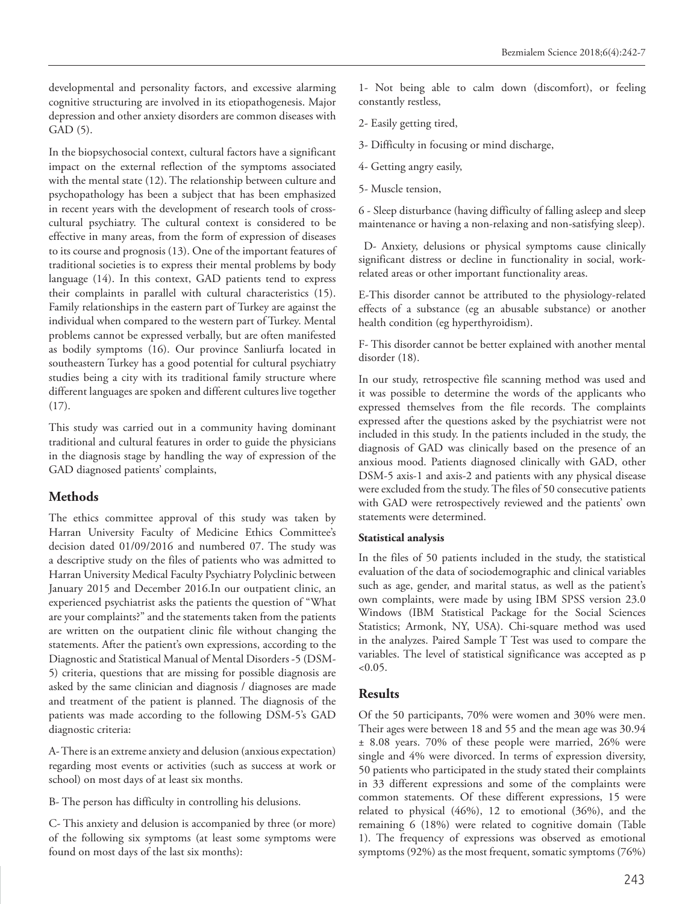developmental and personality factors, and excessive alarming cognitive structuring are involved in its etiopathogenesis. Major depression and other anxiety disorders are common diseases with GAD (5).

In the biopsychosocial context, cultural factors have a significant impact on the external reflection of the symptoms associated with the mental state (12). The relationship between culture and psychopathology has been a subject that has been emphasized in recent years with the development of research tools of crosscultural psychiatry. The cultural context is considered to be effective in many areas, from the form of expression of diseases to its course and prognosis (13). One of the important features of traditional societies is to express their mental problems by body language (14). In this context, GAD patients tend to express their complaints in parallel with cultural characteristics (15). Family relationships in the eastern part of Turkey are against the individual when compared to the western part of Turkey. Mental problems cannot be expressed verbally, but are often manifested as bodily symptoms (16). Our province Sanliurfa located in southeastern Turkey has a good potential for cultural psychiatry studies being a city with its traditional family structure where different languages are spoken and different cultures live together (17).

This study was carried out in a community having dominant traditional and cultural features in order to guide the physicians in the diagnosis stage by handling the way of expression of the GAD diagnosed patients' complaints,

## **Methods**

The ethics committee approval of this study was taken by Harran University Faculty of Medicine Ethics Committee's decision dated 01/09/2016 and numbered 07. The study was a descriptive study on the files of patients who was admitted to Harran University Medical Faculty Psychiatry Polyclinic between January 2015 and December 2016.In our outpatient clinic, an experienced psychiatrist asks the patients the question of "What are your complaints?" and the statements taken from the patients are written on the outpatient clinic file without changing the statements. After the patient's own expressions, according to the Diagnostic and Statistical Manual of Mental Disorders -5 (DSM-5) criteria, questions that are missing for possible diagnosis are asked by the same clinician and diagnosis / diagnoses are made and treatment of the patient is planned. The diagnosis of the patients was made according to the following DSM-5's GAD diagnostic criteria:

A- There is an extreme anxiety and delusion (anxious expectation) regarding most events or activities (such as success at work or school) on most days of at least six months.

B- The person has difficulty in controlling his delusions.

C- This anxiety and delusion is accompanied by three (or more) of the following six symptoms (at least some symptoms were found on most days of the last six months):

1- Not being able to calm down (discomfort), or feeling constantly restless,

- 2- Easily getting tired,
- 3- Difficulty in focusing or mind discharge,
- 4- Getting angry easily,
- 5- Muscle tension,

6 - Sleep disturbance (having difficulty of falling asleep and sleep maintenance or having a non-relaxing and non-satisfying sleep).

 D- Anxiety, delusions or physical symptoms cause clinically significant distress or decline in functionality in social, workrelated areas or other important functionality areas.

E-This disorder cannot be attributed to the physiology-related effects of a substance (eg an abusable substance) or another health condition (eg hyperthyroidism).

F- This disorder cannot be better explained with another mental disorder (18).

In our study, retrospective file scanning method was used and it was possible to determine the words of the applicants who expressed themselves from the file records. The complaints expressed after the questions asked by the psychiatrist were not included in this study. In the patients included in the study, the diagnosis of GAD was clinically based on the presence of an anxious mood. Patients diagnosed clinically with GAD, other DSM-5 axis-1 and axis-2 and patients with any physical disease were excluded from the study. The files of 50 consecutive patients with GAD were retrospectively reviewed and the patients' own statements were determined.

#### **Statistical analysis**

In the files of 50 patients included in the study, the statistical evaluation of the data of sociodemographic and clinical variables such as age, gender, and marital status, as well as the patient's own complaints, were made by using IBM SPSS version 23.0 Windows (IBM Statistical Package for the Social Sciences Statistics; Armonk, NY, USA). Chi-square method was used in the analyzes. Paired Sample T Test was used to compare the variables. The level of statistical significance was accepted as p  $<0.05$ .

## **Results**

Of the 50 participants, 70% were women and 30% were men. Their ages were between 18 and 55 and the mean age was 30.94 ± 8.08 years. 70% of these people were married, 26% were single and 4% were divorced. In terms of expression diversity, 50 patients who participated in the study stated their complaints in 33 different expressions and some of the complaints were common statements. Of these different expressions, 15 were related to physical (46%), 12 to emotional (36%), and the remaining 6 (18%) were related to cognitive domain (Table 1). The frequency of expressions was observed as emotional symptoms (92%) as the most frequent, somatic symptoms (76%)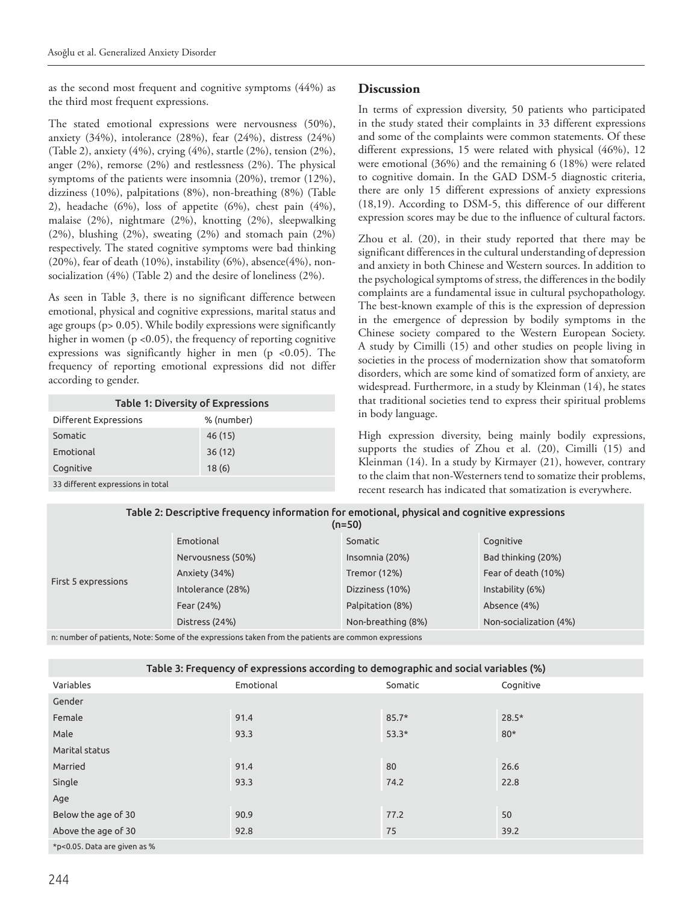as the second most frequent and cognitive symptoms (44%) as the third most frequent expressions.

The stated emotional expressions were nervousness (50%), anxiety (34%), intolerance (28%), fear (24%), distress (24%) (Table 2), anxiety (4%), crying (4%), startle (2%), tension (2%), anger (2%), remorse (2%) and restlessness (2%). The physical symptoms of the patients were insomnia (20%), tremor (12%), dizziness (10%), palpitations (8%), non-breathing (8%) (Table 2), headache (6%), loss of appetite (6%), chest pain (4%), malaise (2%), nightmare (2%), knotting (2%), sleepwalking (2%), blushing (2%), sweating (2%) and stomach pain (2%) respectively. The stated cognitive symptoms were bad thinking (20%), fear of death (10%), instability (6%), absence(4%), nonsocialization (4%) (Table 2) and the desire of loneliness (2%).

As seen in Table 3, there is no significant difference between emotional, physical and cognitive expressions, marital status and age groups (p> 0.05). While bodily expressions were significantly higher in women (p <0.05), the frequency of reporting cognitive expressions was significantly higher in men (p <0.05). The frequency of reporting emotional expressions did not differ according to gender.

| <b>Table 1: Diversity of Expressions</b> |            |  |  |  |
|------------------------------------------|------------|--|--|--|
| Different Expressions                    | % (number) |  |  |  |
| Somatic                                  | 46 (15)    |  |  |  |
| Emotional                                | 36(12)     |  |  |  |
| Cognitive                                | 18(6)      |  |  |  |
| 33 different expressions in total        |            |  |  |  |

## **Discussion**

In terms of expression diversity, 50 patients who participated in the study stated their complaints in 33 different expressions and some of the complaints were common statements. Of these different expressions, 15 were related with physical (46%), 12 were emotional (36%) and the remaining 6 (18%) were related to cognitive domain. In the GAD DSM-5 diagnostic criteria, there are only 15 different expressions of anxiety expressions (18,19). According to DSM-5, this difference of our different expression scores may be due to the influence of cultural factors.

Zhou et al. (20), in their study reported that there may be significant differences in the cultural understanding of depression and anxiety in both Chinese and Western sources. In addition to the psychological symptoms of stress, the differences in the bodily complaints are a fundamental issue in cultural psychopathology. The best-known example of this is the expression of depression in the emergence of depression by bodily symptoms in the Chinese society compared to the Western European Society. A study by Cimilli (15) and other studies on people living in societies in the process of modernization show that somatoform disorders, which are some kind of somatized form of anxiety, are widespread. Furthermore, in a study by Kleinman (14), he states that traditional societies tend to express their spiritual problems in body language.

High expression diversity, being mainly bodily expressions, supports the studies of Zhou et al. (20), Cimilli (15) and Kleinman (14). In a study by Kirmayer (21), however, contrary to the claim that non-Westerners tend to somatize their problems, recent research has indicated that somatization is everywhere.

| Table 2: Descriptive frequency information for emotional, physical and cognitive expressions<br>$(n=50)$ |                   |                    |                        |  |  |
|----------------------------------------------------------------------------------------------------------|-------------------|--------------------|------------------------|--|--|
| First 5 expressions                                                                                      | Emotional         | Somatic            | Cognitive              |  |  |
|                                                                                                          | Nervousness (50%) | Insomnia (20%)     | Bad thinking (20%)     |  |  |
|                                                                                                          | Anxiety (34%)     | Tremor (12%)       | Fear of death (10%)    |  |  |
|                                                                                                          | Intolerance (28%) | Dizziness (10%)    | Instability (6%)       |  |  |
|                                                                                                          | Fear (24%)        | Palpitation (8%)   | Absence (4%)           |  |  |
|                                                                                                          | Distress (24%)    | Non-breathing (8%) | Non-socialization (4%) |  |  |

n: number of patients, Note: Some of the expressions taken from the patients are common expressions

| Table 3: Frequency of expressions according to demographic and social variables (%) |           |         |           |  |  |  |
|-------------------------------------------------------------------------------------|-----------|---------|-----------|--|--|--|
| Variables                                                                           | Emotional | Somatic | Cognitive |  |  |  |
| Gender                                                                              |           |         |           |  |  |  |
| Female                                                                              | 91.4      | $85.7*$ | $28.5*$   |  |  |  |
| Male                                                                                | 93.3      | $53.3*$ | $80*$     |  |  |  |
| Marital status                                                                      |           |         |           |  |  |  |
| Married                                                                             | 91.4      | 80      | 26.6      |  |  |  |
| Single                                                                              | 93.3      | 74.2    | 22.8      |  |  |  |
| Age                                                                                 |           |         |           |  |  |  |
| Below the age of 30                                                                 | 90.9      | 77.2    | 50        |  |  |  |
| Above the age of 30                                                                 | 92.8      | 75      | 39.2      |  |  |  |
| *p<0.05. Data are given as %                                                        |           |         |           |  |  |  |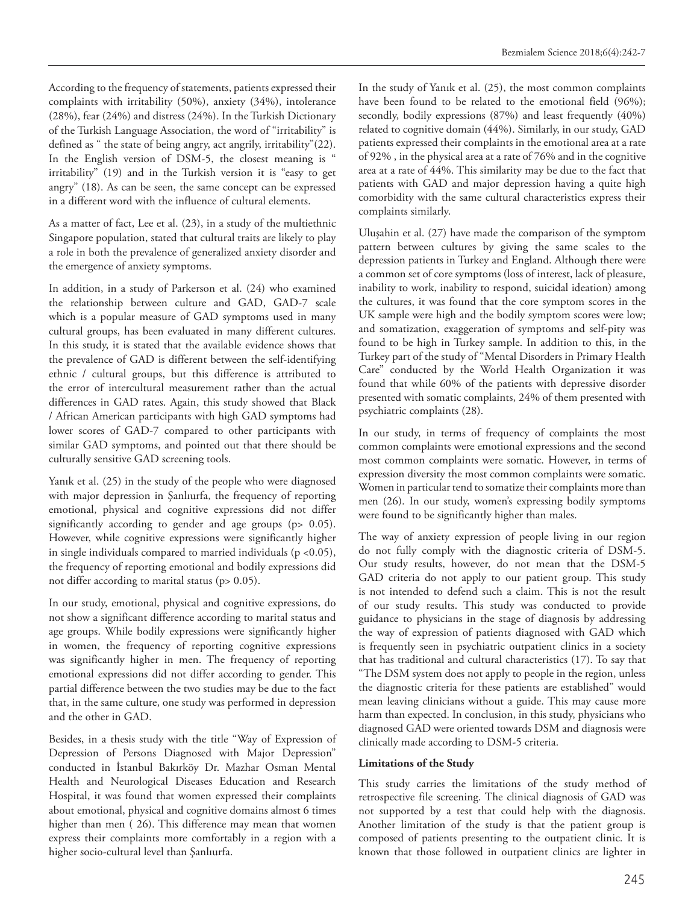According to the frequency of statements, patients expressed their complaints with irritability (50%), anxiety (34%), intolerance (28%), fear (24%) and distress (24%). In the Turkish Dictionary of the Turkish Language Association, the word of "irritability" is defined as " the state of being angry, act angrily, irritability"(22). In the English version of DSM-5, the closest meaning is " irritability" (19) and in the Turkish version it is "easy to get angry" (18). As can be seen, the same concept can be expressed in a different word with the influence of cultural elements.

As a matter of fact, Lee et al. (23), in a study of the multiethnic Singapore population, stated that cultural traits are likely to play a role in both the prevalence of generalized anxiety disorder and the emergence of anxiety symptoms.

In addition, in a study of Parkerson et al. (24) who examined the relationship between culture and GAD, GAD-7 scale which is a popular measure of GAD symptoms used in many cultural groups, has been evaluated in many different cultures. In this study, it is stated that the available evidence shows that the prevalence of GAD is different between the self-identifying ethnic / cultural groups, but this difference is attributed to the error of intercultural measurement rather than the actual differences in GAD rates. Again, this study showed that Black / African American participants with high GAD symptoms had lower scores of GAD-7 compared to other participants with similar GAD symptoms, and pointed out that there should be culturally sensitive GAD screening tools.

Yanık et al. (25) in the study of the people who were diagnosed with major depression in Şanlıurfa, the frequency of reporting emotional, physical and cognitive expressions did not differ significantly according to gender and age groups (p> 0.05). However, while cognitive expressions were significantly higher in single individuals compared to married individuals ( $p < 0.05$ ), the frequency of reporting emotional and bodily expressions did not differ according to marital status (p> 0.05).

In our study, emotional, physical and cognitive expressions, do not show a significant difference according to marital status and age groups. While bodily expressions were significantly higher in women, the frequency of reporting cognitive expressions was significantly higher in men. The frequency of reporting emotional expressions did not differ according to gender. This partial difference between the two studies may be due to the fact that, in the same culture, one study was performed in depression and the other in GAD.

Besides, in a thesis study with the title "Way of Expression of Depression of Persons Diagnosed with Major Depression" conducted in İstanbul Bakırköy Dr. Mazhar Osman Mental Health and Neurological Diseases Education and Research Hospital, it was found that women expressed their complaints about emotional, physical and cognitive domains almost 6 times higher than men ( 26). This difference may mean that women express their complaints more comfortably in a region with a higher socio-cultural level than Şanlıurfa.

In the study of Yanık et al. (25), the most common complaints have been found to be related to the emotional field (96%); secondly, bodily expressions (87%) and least frequently (40%) related to cognitive domain (44%). Similarly, in our study, GAD patients expressed their complaints in the emotional area at a rate of 92% , in the physical area at a rate of 76% and in the cognitive area at a rate of 44%. This similarity may be due to the fact that patients with GAD and major depression having a quite high comorbidity with the same cultural characteristics express their complaints similarly.

Uluşahin et al. (27) have made the comparison of the symptom pattern between cultures by giving the same scales to the depression patients in Turkey and England. Although there were a common set of core symptoms (loss of interest, lack of pleasure, inability to work, inability to respond, suicidal ideation) among the cultures, it was found that the core symptom scores in the UK sample were high and the bodily symptom scores were low; and somatization, exaggeration of symptoms and self-pity was found to be high in Turkey sample. In addition to this, in the Turkey part of the study of "Mental Disorders in Primary Health Care" conducted by the World Health Organization it was found that while 60% of the patients with depressive disorder presented with somatic complaints, 24% of them presented with psychiatric complaints (28).

In our study, in terms of frequency of complaints the most common complaints were emotional expressions and the second most common complaints were somatic. However, in terms of expression diversity the most common complaints were somatic. Women in particular tend to somatize their complaints more than men (26). In our study, women's expressing bodily symptoms were found to be significantly higher than males.

The way of anxiety expression of people living in our region do not fully comply with the diagnostic criteria of DSM-5. Our study results, however, do not mean that the DSM-5 GAD criteria do not apply to our patient group. This study is not intended to defend such a claim. This is not the result of our study results. This study was conducted to provide guidance to physicians in the stage of diagnosis by addressing the way of expression of patients diagnosed with GAD which is frequently seen in psychiatric outpatient clinics in a society that has traditional and cultural characteristics (17). To say that "The DSM system does not apply to people in the region, unless the diagnostic criteria for these patients are established" would mean leaving clinicians without a guide. This may cause more harm than expected. In conclusion, in this study, physicians who diagnosed GAD were oriented towards DSM and diagnosis were clinically made according to DSM-5 criteria.

#### **Limitations of the Study**

This study carries the limitations of the study method of retrospective file screening. The clinical diagnosis of GAD was not supported by a test that could help with the diagnosis. Another limitation of the study is that the patient group is composed of patients presenting to the outpatient clinic. It is known that those followed in outpatient clinics are lighter in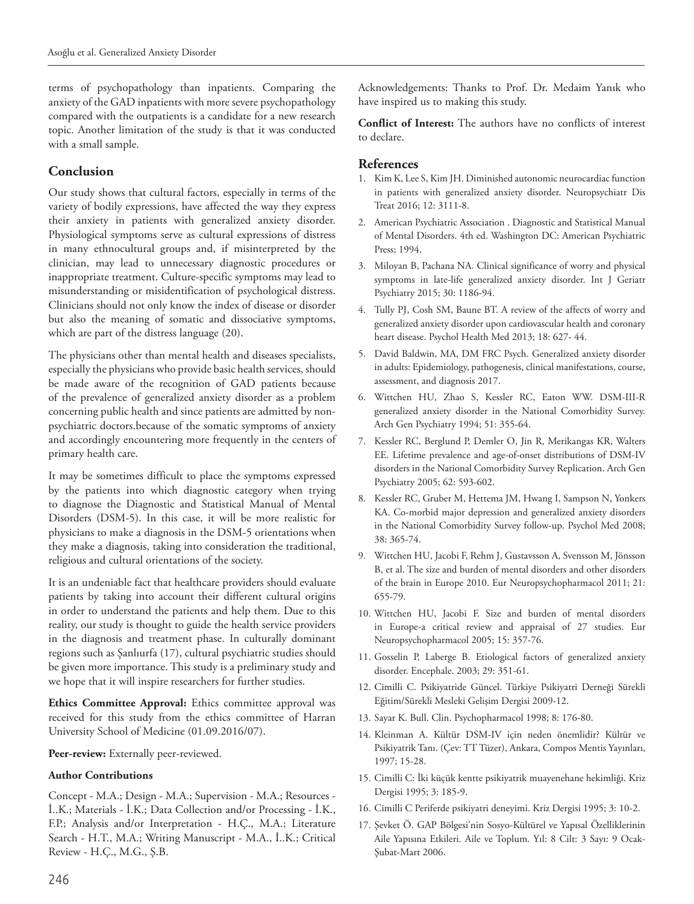terms of psychopathology than inpatients. Comparing the anxiety of the GAD inpatients with more severe psychopathology compared with the outpatients is a candidate for a new research topic. Another limitation of the study is that it was conducted with a small sample.

## **Conclusion**

Our study shows that cultural factors, especially in terms of the variety of bodily expressions, have affected the way they express their anxiety in patients with generalized anxiety disorder. Physiological symptoms serve as cultural expressions of distress in many ethnocultural groups and, if misinterpreted by the clinician, may lead to unnecessary diagnostic procedures or inappropriate treatment. Culture-specific symptoms may lead to misunderstanding or misidentification of psychological distress. Clinicians should not only know the index of disease or disorder but also the meaning of somatic and dissociative symptoms, which are part of the distress language (20).

The physicians other than mental health and diseases specialists, especially the physicians who provide basic health services, should be made aware of the recognition of GAD patients because of the prevalence of generalized anxiety disorder as a problem concerning public health and since patients are admitted by nonpsychiatric doctors.because of the somatic symptoms of anxiety and accordingly encountering more frequently in the centers of primary health care.

It may be sometimes difficult to place the symptoms expressed by the patients into which diagnostic category when trying to diagnose the Diagnostic and Statistical Manual of Mental Disorders (DSM-5). In this case, it will be more realistic for physicians to make a diagnosis in the DSM-5 orientations when they make a diagnosis, taking into consideration the traditional, religious and cultural orientations of the society.

It is an undeniable fact that healthcare providers should evaluate patients by taking into account their different cultural origins in order to understand the patients and help them. Due to this reality, our study is thought to guide the health service providers in the diagnosis and treatment phase. In culturally dominant regions such as Şanlıurfa (17), cultural psychiatric studies should be given more importance. This study is a preliminary study and we hope that it will inspire researchers for further studies.

**Ethics Committee Approval:** Ethics committee approval was received for this study from the ethics committee of Harran University School of Medicine (01.09.2016/07).

Peer-review: Externally peer-reviewed.

#### **Author Contributions**

Concept - M.A.; Design - M.A.; Supervision - M.A.; Resources - İ..K.; Materials - İ.K.; Data Collection and/or Processing - İ.K., F.P.; Analysis and/or Interpretation - H.Ç., M.A.; Literature Search - H.T., M.A.; Writing Manuscript - M.A., İ..K.; Critical Review - H.Ç., M.G., Ş.B.

Acknowledgements: Thanks to Prof. Dr. Medaim Yanık who have inspired us to making this study.

**Conflict of Interest:** The authors have no conflicts of interest to declare.

### **References**

- 1. Kim K, Lee S, Kim JH. Diminished autonomic neurocardiac function in patients with generalized anxiety disorder. Neuropsychiatr Dis Treat 2016; 12: 3111-8.
- 2. American Psychiatric Association . Diagnostic and Statistical Manual of Mental Disorders. 4th ed. Washington DC: American Psychiatric Press; 1994.
- 3. Miloyan B, Pachana NA. Clinical significance of worry and physical symptoms in late-life generalized anxiety disorder. Int J Geriatr Psychiatry 2015; 30: 1186-94.
- 4. Tully PJ, Cosh SM, Baune BT. A review of the affects of worry and generalized anxiety disorder upon cardiovascular health and coronary heart disease. Psychol Health Med 2013; 18: 627- 44.
- 5. David Baldwin, MA, DM FRC Psych. Generalized anxiety disorder in adults: Epidemiology, pathogenesis, clinical manifestations, course, assessment, and diagnosis 2017.
- 6. Wittchen HU, Zhao S, Kessler RC, Eaton WW. DSM-III-R generalized anxiety disorder in the National Comorbidity Survey. Arch Gen Psychiatry 1994; 51: 355-64.
- 7. Kessler RC, Berglund P, Demler O, Jin R, Merikangas KR, Walters EE. Lifetime prevalence and age-of-onset distributions of DSM-IV disorders in the National Comorbidity Survey Replication. Arch Gen Psychiatry 2005; 62: 593-602.
- 8. Kessler RC, Gruber M, Hettema JM, Hwang I, Sampson N, Yonkers KA. Co-morbid major depression and generalized anxiety disorders in the National Comorbidity Survey follow-up. Psychol Med 2008; 38: 365-74.
- 9. Wittchen HU, Jacobi F, Rehm J, Gustavsson A, Svensson M, Jönsson B, et al. The size and burden of mental disorders and other disorders of the brain in Europe 2010. Eur Neuropsychopharmacol 2011; 21: 655-79.
- 10. Wittchen HU, Jacobi F. Size and burden of mental disorders in Europe-a critical review and appraisal of 27 studies. Eur Neuropsychopharmacol 2005; 15: 357-76.
- 11. Gosselin P, Laberge B. Etiological factors of generalized anxiety disorder. Encephale. 2003; 29: 351-61.
- 12. Cimilli C. Psikiyatride Güncel. Türkiye Psikiyatri Derneği Sürekli Eğitim/Sürekli Mesleki Gelişim Dergisi 2009-12.
- 13. Sayar K. Bull. Clin. Psychopharmacol 1998; 8: 176-80.
- 14. Kleinman A. Kültür DSM-IV için neden önemlidir? Kültür ve Psikiyatrik Tanı. (Çev: TT Tüzer), Ankara, Compos Mentis Yayınları, 1997; 15-28.
- 15. Cimilli C: İki küçük kentte psikiyatrik muayenehane hekimliği. Kriz Dergisi 1995; 3: 185-9.
- 16. Cimilli C Periferde psikiyatri deneyimi. Kriz Dergisi 1995; 3: 10-2.
- 17. Şevket Ö. GAP Bölgesi'nin Sosyo-Kültürel ve Yapısal Özelliklerinin Aile Yapısına Etkileri. Aile ve Toplum. Yıl: 8 Cilt: 3 Sayı: 9 Ocak-Şubat-Mart 2006.